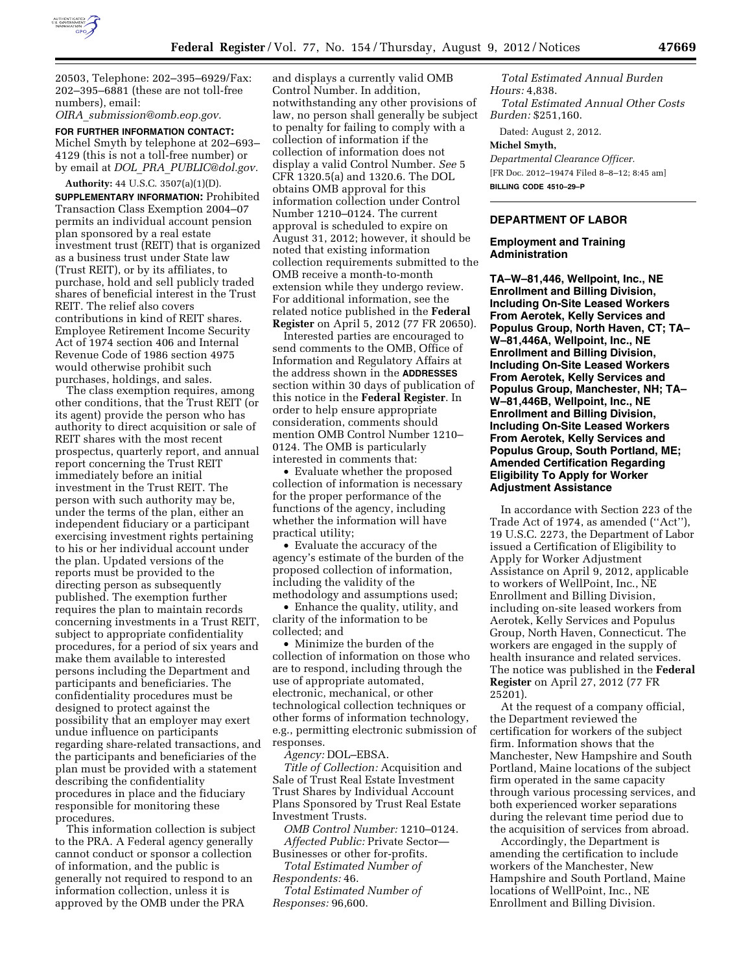

20503, Telephone: 202–395–6929/Fax: 202–395–6881 (these are not toll-free numbers), email:

*OIRA*\_*[submission@omb.eop.gov.](mailto:OIRA_submission@omb.eop.gov)* 

**FOR FURTHER INFORMATION CONTACT:**  Michel Smyth by telephone at 202–693– 4129 (this is not a toll-free number) or by email at *DOL*\_*PRA*\_*[PUBLIC@dol.gov.](mailto:DOL_PRA_PUBLIC@dol.gov)* 

**Authority:** 44 U.S.C. 3507(a)(1)(D). **SUPPLEMENTARY INFORMATION:** Prohibited Transaction Class Exemption 2004–07 permits an individual account pension plan sponsored by a real estate investment trust (REIT) that is organized as a business trust under State law (Trust REIT), or by its affiliates, to purchase, hold and sell publicly traded shares of beneficial interest in the Trust REIT. The relief also covers contributions in kind of REIT shares. Employee Retirement Income Security Act of 1974 section 406 and Internal Revenue Code of 1986 section 4975 would otherwise prohibit such purchases, holdings, and sales.

The class exemption requires, among other conditions, that the Trust REIT (or its agent) provide the person who has authority to direct acquisition or sale of REIT shares with the most recent prospectus, quarterly report, and annual report concerning the Trust REIT immediately before an initial investment in the Trust REIT. The person with such authority may be, under the terms of the plan, either an independent fiduciary or a participant exercising investment rights pertaining to his or her individual account under the plan. Updated versions of the reports must be provided to the directing person as subsequently published. The exemption further requires the plan to maintain records concerning investments in a Trust REIT, subject to appropriate confidentiality procedures, for a period of six years and make them available to interested persons including the Department and participants and beneficiaries. The confidentiality procedures must be designed to protect against the possibility that an employer may exert undue influence on participants regarding share-related transactions, and the participants and beneficiaries of the plan must be provided with a statement describing the confidentiality procedures in place and the fiduciary responsible for monitoring these procedures.

This information collection is subject to the PRA. A Federal agency generally cannot conduct or sponsor a collection of information, and the public is generally not required to respond to an information collection, unless it is approved by the OMB under the PRA

and displays a currently valid OMB Control Number. In addition, notwithstanding any other provisions of law, no person shall generally be subject to penalty for failing to comply with a collection of information if the collection of information does not display a valid Control Number. *See* 5 CFR 1320.5(a) and 1320.6. The DOL obtains OMB approval for this information collection under Control Number 1210–0124. The current approval is scheduled to expire on August 31, 2012; however, it should be noted that existing information collection requirements submitted to the OMB receive a month-to-month extension while they undergo review. For additional information, see the related notice published in the **Federal Register** on April 5, 2012 (77 FR 20650).

Interested parties are encouraged to send comments to the OMB, Office of Information and Regulatory Affairs at the address shown in the **ADDRESSES** section within 30 days of publication of this notice in the **Federal Register**. In order to help ensure appropriate consideration, comments should mention OMB Control Number 1210– 0124. The OMB is particularly interested in comments that:

• Evaluate whether the proposed collection of information is necessary for the proper performance of the functions of the agency, including whether the information will have practical utility;

• Evaluate the accuracy of the agency's estimate of the burden of the proposed collection of information, including the validity of the methodology and assumptions used;

• Enhance the quality, utility, and clarity of the information to be collected; and

• Minimize the burden of the collection of information on those who are to respond, including through the use of appropriate automated, electronic, mechanical, or other technological collection techniques or other forms of information technology, e.g., permitting electronic submission of responses.

*Agency:* DOL–EBSA.

*Title of Collection:* Acquisition and Sale of Trust Real Estate Investment Trust Shares by Individual Account Plans Sponsored by Trust Real Estate Investment Trusts.

*OMB Control Number:* 1210–0124. *Affected Public:* Private Sector—

Businesses or other for-profits. *Total Estimated Number of* 

*Respondents:* 46.

*Total Estimated Number of Responses:* 96,600.

*Total Estimated Annual Burden Hours:* 4,838. *Total Estimated Annual Other Costs Burden:* \$251,160.

Dated: August 2, 2012.

### **Michel Smyth,**

*Departmental Clearance Officer.*  [FR Doc. 2012–19474 Filed 8–8–12; 8:45 am] **BILLING CODE 4510–29–P** 

## **DEPARTMENT OF LABOR**

# **Employment and Training Administration**

**TA–W–81,446, Wellpoint, Inc., NE Enrollment and Billing Division, Including On-Site Leased Workers From Aerotek, Kelly Services and Populus Group, North Haven, CT; TA– W–81,446A, Wellpoint, Inc., NE Enrollment and Billing Division, Including On-Site Leased Workers From Aerotek, Kelly Services and Populus Group, Manchester, NH; TA– W–81,446B, Wellpoint, Inc., NE Enrollment and Billing Division, Including On-Site Leased Workers From Aerotek, Kelly Services and Populus Group, South Portland, ME; Amended Certification Regarding Eligibility To Apply for Worker Adjustment Assistance** 

In accordance with Section 223 of the Trade Act of 1974, as amended (''Act''), 19 U.S.C. 2273, the Department of Labor issued a Certification of Eligibility to Apply for Worker Adjustment Assistance on April 9, 2012, applicable to workers of WellPoint, Inc., NE Enrollment and Billing Division, including on-site leased workers from Aerotek, Kelly Services and Populus Group, North Haven, Connecticut. The workers are engaged in the supply of health insurance and related services. The notice was published in the **Federal Register** on April 27, 2012 (77 FR 25201).

At the request of a company official, the Department reviewed the certification for workers of the subject firm. Information shows that the Manchester, New Hampshire and South Portland, Maine locations of the subject firm operated in the same capacity through various processing services, and both experienced worker separations during the relevant time period due to the acquisition of services from abroad.

Accordingly, the Department is amending the certification to include workers of the Manchester, New Hampshire and South Portland, Maine locations of WellPoint, Inc., NE Enrollment and Billing Division.